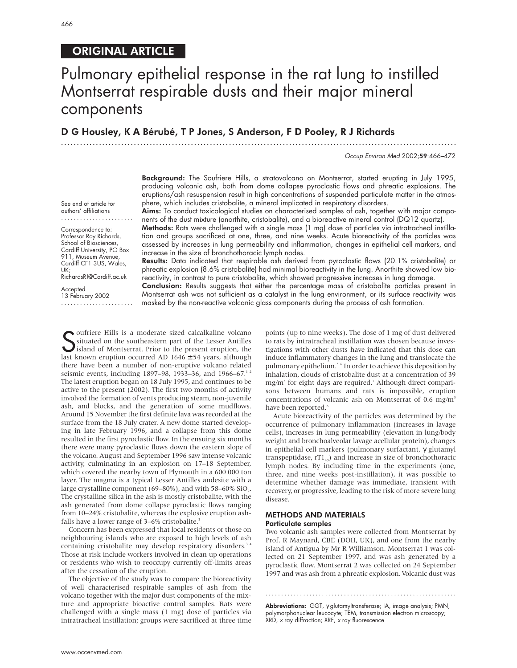## ORIGINAL ARTICLE

## Pulmonary epithelial response in the rat lung to instilled Montserrat respirable dusts and their major mineral components

## D G Housley, K A Bérubé, T P Jones, S Anderson, F D Pooley, R J Richards

.............................................................................................................................

Occup Environ Med 2002;59:466–472

Background: The Soufriere Hills, a stratovolcano on Montserrat, started erupting in July 1995, producing volcanic ash, both from dome collapse pyroclastic flows and phreatic explosions. The eruptions/ash resuspension result in high concentrations of suspended particulate matter in the atmosphere, which includes cristobalite, a mineral implicated in respiratory disorders.

Aims: To conduct toxicological studies on characterised samples of ash, together with major components of the dust mixture (anorthite, cristobalite), and a bioreactive mineral control (DQ12 quartz).

Methods: Rats were challenged with a single mass (1 mg) dose of particles via intratracheal instillation and groups sacrificed at one, three, and nine weeks. Acute bioreactivity of the particles was assessed by increases in lung permeability and inflammation, changes in epithelial cell markers, and increase in the size of bronchothoracic lymph nodes.

Results: Data indicated that respirable ash derived from pyroclastic flows (20.1% cristobalite) or phreatic explosion (8.6% cristobalite) had minimal bioreactivity in the lung. Anorthite showed low bioreactivity, in contrast to pure cristobalite, which showed progressive increases in lung damage.

Conclusion: Results suggests that either the percentage mass of cristobalite particles present in Montserrat ash was not sufficient as a catalyst in the lung environment, or its surface reactivity was masked by the non-reactive volcanic glass components during the process of ash formation.

Soufriere Hills is a moderate sized calcalkaline volcano<br>
Situated on the southeastern part of the Lesser Antilles<br>
Sisland of Montserrat. Prior to the present eruption, the<br>
last known eruption occurred AD 1646 + 54 years situated on the southeastern part of the Lesser Antilles island of Montserrat. Prior to the present eruption, the last known eruption occurred AD  $1646 \pm 54$  years, although there have been a number of non-eruptive volcano related seismic events, including 1897–98, 1933–36, and 1966–67.<sup>12</sup> The latest eruption began on 18 July 1995, and continues to be active to the present (2002). The first two months of activity involved the formation of vents producing steam, non-juvenile ash, and blocks, and the generation of some mudflows. Around 15 November the first definite lava was recorded at the surface from the 18 July crater. A new dome started developing in late February 1996, and a collapse from this dome resulted in the first pyroclastic flow. In the ensuing six months there were many pyroclastic flows down the eastern slope of the volcano. August and September 1996 saw intense volcanic activity, culminating in an explosion on 17–18 September, which covered the nearby town of Plymouth in a 600 000 ton layer. The magma is a typical Lesser Antilles andesite with a large crystalline component (69–80%), and with  $58-60\%$  SiO<sub>2</sub>. The crystalline silica in the ash is mostly cristobalite, with the ash generated from dome collapse pyroclastic flows ranging from 10–24% cristobalite, whereas the explosive eruption ashfalls have a lower range of 3–6% cristobalite.<sup>3</sup>

Concern has been expressed that local residents or those on neighbouring islands who are exposed to high levels of ash containing cristobalite may develop respiratory disorders.<sup>34</sup> Those at risk include workers involved in clean up operations or residents who wish to reoccupy currently off-limits areas after the cessation of the eruption.

The objective of the study was to compare the bioreactivity of well characterised respirable samples of ash from the volcano together with the major dust components of the mixture and appropriate bioactive control samples. Rats were challenged with a single mass (1 mg) dose of particles via intratracheal instillation; groups were sacrificed at three time

points (up to nine weeks). The dose of 1 mg of dust delivered to rats by intratracheal instillation was chosen because investigations with other dusts have indicated that this dose can induce inflammatory changes in the lung and translocate the pulmonary epithelium.<sup>5 6</sup> In order to achieve this deposition by inhalation, clouds of cristobalite dust at a concentration of 39 mg/m<sup>3</sup> for eight days are required.<sup>7</sup> Although direct comparisons between humans and rats is impossible, eruption concentrations of volcanic ash on Montserrat of 0.6 mg/m<sup>3</sup> have been reported.<sup>8</sup>

Acute bioreactivity of the particles was determined by the occurrence of pulmonary inflammation (increases in lavage cells), increases in lung permeability (elevation in lung/body weight and bronchoalveolar lavage acellular protein), changes in epithelial cell markers (pulmonary surfactant, γ glutamyl transpeptidase,  $rT1_{40}$ ) and increase in size of bronchothoracic lymph nodes. By including time in the experiments (one, three, and nine weeks post-instillation), it was possible to determine whether damage was immediate, transient with recovery, or progressive, leading to the risk of more severe lung disease.

#### METHODS AND MATERIALS Particulate samples

Two volcanic ash samples were collected from Montserrat by Prof. R Maynard, CBE (DOH, UK), and one from the nearby island of Antigua by Mr R Williamson. Montserrat 1 was collected on 21 September 1997, and was ash generated by a pyroclastic flow. Montserrat 2 was collected on 24 September 1997 and was ash from a phreatic explosion. Volcanic dust was

Abbreviations: GGT, γ glutamyltransferase; IA, image analysis; PMN, polymorphonuclear leucocyte; TEM, transmission electron microscopy; XRD, <sup>x</sup> ray diffraction; XRF, <sup>x</sup> ray fluorescence

.............................................................

....................... Correspondence to:

See end of article for authors' affiliations

Professor Roy Richards, School of Biosciences. Cardiff University, PO Box 911, Museum Avenue, Cardiff CF1 3US, Wales, UK; RichardsRJ@Cardiff.ac.uk

Accepted

13 February 2002 .......................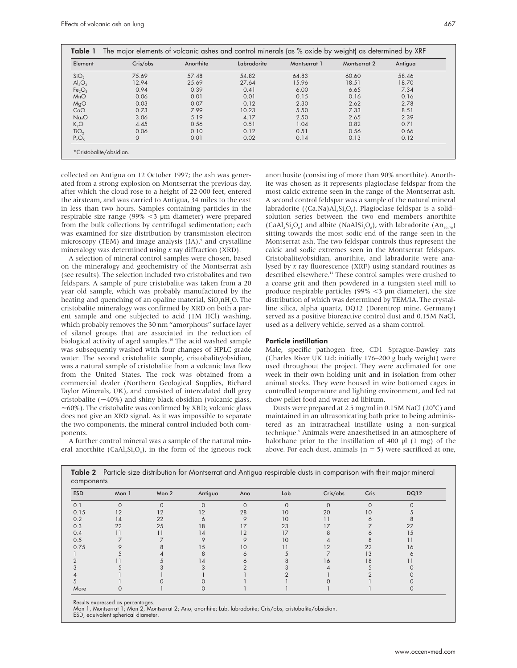| Element                        | Cris/obs | Anorthite | Labradorite | Montserrat 1 | Montserrat 2 | Antigua |
|--------------------------------|----------|-----------|-------------|--------------|--------------|---------|
| SiO <sub>2</sub>               | 75.69    | 57.48     | 54.82       | 64.83        | 60.60        | 58.46   |
| $\mathsf{Al}_2\mathsf{O}_3$    | 12.94    | 25.69     | 27.64       | 15.96        | 18.51        | 18.70   |
| Fe <sub>2</sub> O <sub>3</sub> | 0.94     | 0.39      | 0.41        | 6.00         | 6.65         | 7.34    |
| MnO                            | 0.06     | 0.01      | 0.01        | 0.15         | 0.16         | 0.16    |
| MgO                            | 0.03     | 0.07      | 0.12        | 2.30         | 2.62         | 2.78    |
| CaO                            | 0.73     | 7.99      | 10.23       | 5.50         | 7.33         | 8.51    |
| Na <sub>2</sub> O              | 3.06     | 5.19      | 4.17        | 2.50         | 2.65         | 2.39    |
| K <sub>2</sub> O               | 4.45     | 0.56      | 0.51        | 1.04         | 0.82         | 0.71    |
| TiO <sub>2</sub>               | 0.06     | 0.10      | 0.12        | 0.51         | 0.56         | 0.66    |
| $P_2O_5$                       | $\circ$  | 0.01      | 0.02        | 0.14         | 0.13         | 0.12    |

collected on Antigua on 12 October 1997; the ash was generated from a strong explosion on Montserrat the previous day, after which the cloud rose to a height of 22 000 feet, entered the airsteam, and was carried to Antigua, 34 miles to the east in less than two hours. Samples containing particles in the respirable size range (99% <3 µm diameter) were prepared from the bulk collections by centrifugal sedimentation; each was examined for size distribution by transmission electron microscopy (TEM) and image analysis  $(IA)$ ,<sup>9</sup> and crystalline mineralogy was determined using *x* ray diffraction (XRD).

A selection of mineral control samples were chosen, based on the mineralogy and geochemistry of the Montserrat ash (see results). The selection included two cristobalites and two feldspars. A sample of pure cristobalite was taken from a 20 year old sample, which was probably manufactured by the heating and quenching of an opaline material,  $SiO_2nH_2O$ . The cristobalite mineralogy was confirmed by XRD on both a parent sample and one subjected to acid (1M HCl) washing, which probably removes the 30 nm "amorphous" surface layer of silanol groups that are associated in the reduction of biological activity of aged samples.<sup>10</sup> The acid washed sample was subsequently washed with four changes of HPLC grade water. The second cristobalite sample, cristobalite/obsidian, was a natural sample of cristobalite from a volcanic lava flow from the United States. The rock was obtained from a commercial dealer (Northern Geological Supplies, Richard Taylor Minerals, UK), and consisted of intercalated dull grey cristobalite (∼ 40%) and shiny black obsidian (volcanic glass, ∼ 60%). The cristobalite was confirmed by XRD; volcanic glass does not give an XRD signal. As it was impossible to separate the two components, the mineral control included both components.

A further control mineral was a sample of the natural mineral anorthite (CaAl,  $Si_2O_8$ ), in the form of the igneous rock anorthosite (consisting of more than 90% anorthite). Anorthite was chosen as it represents plagioclase feldspar from the most calcic extreme seen in the range of the Montserrat ash. A second control feldspar was a sample of the natural mineral labradorite ((Ca.Na)Al,Si,O<sub>s</sub>). Plagioclase feldspar is a solid– solution series between the two end members anorthite (CaAl, Si, O<sub>s</sub>) and albite (NaAlSi, O<sub>s</sub>), with labradorite  $(An_{50-70})$ sitting towards the most sodic end of the range seen in the Montserrat ash. The two feldspar controls thus represent the calcic and sodic extremes seen in the Montserrat feldspars. Cristobalite/obsidian, anorthite, and labradorite were analysed by *x* ray fluorescence (XRF) using standard routines as described elsewhere.<sup>11</sup> These control samples were crushed to a coarse grit and then powdered in a tungsten steel mill to produce respirable particles (99%  $\lt$ 3 µm diameter), the size distribution of which was determined by TEM/IA. The crystalline silica, alpha quartz, DQ12 (Dorentrop mine, Germany) served as a positive bioreactive control dust and 0.15M NaCl, used as a delivery vehicle, served as a sham control.

#### Particle instillation

Male, specific pathogen free, CD1 Sprague-Dawley rats (Charles River UK Ltd; initially 176–200 g body weight) were used throughout the project. They were acclimated for one week in their own holding unit and in isolation from other animal stocks. They were housed in wire bottomed cages in controlled temperature and lighting environment, and fed rat chow pellet food and water ad libitum.

Dusts were prepared at 2.5 mg/ml in 0.15M NaCl (20°C) and maintained in an ultrasonicating bath prior to being administered as an intratracheal instillate using a non-surgical technique.<sup>5</sup> Animals were anaesthetised in an atmosphere of halothane prior to the instillation of 400  $\mu$ l (1 mg) of the above. For each dust, animals ( $n = 5$ ) were sacrificed at one,

| components |          |          |                |          |             |          |          |             |
|------------|----------|----------|----------------|----------|-------------|----------|----------|-------------|
| <b>ESD</b> | Mon 1    | Mon 2    | Antigua        | Ano      | Lab         | Cris/obs | Cris     | <b>DQ12</b> |
| 0.1        | $\Omega$ | $\Omega$ | $\Omega$       | $\Omega$ | $\mathbf 0$ | $\Omega$ | $\Omega$ | $\Omega$    |
| 0.15       | 12       | 12       | 12             | 28       | 10          | 20       | 10       |             |
| 0.2        | 14       | 22       |                | O        | 10          | 11       |          |             |
| 0.3        | 22       | 25       | 18             | 17       | 23          | 17       |          | 27          |
| 0.4        |          |          | 14             | 12       | 17          |          |          | 15          |
| 0.5        |          |          |                |          | 10          |          |          | . .         |
| 0.75       |          |          | 15             | 10       | 11          | 12       | 22       | 16          |
|            |          |          |                |          |             |          | 13       |             |
|            |          |          | $\overline{4}$ |          |             | 16       | 18       |             |
|            |          |          |                |          |             |          |          |             |
|            |          |          |                |          |             |          |          |             |
|            |          |          |                |          |             |          |          |             |
| More       |          |          |                |          |             |          |          |             |

Table 2 Particle size distribution for Montserrat and Antigua respirable dusts in comparison with their major mineral

Results expressed as percentages.

Mon 1, Montserrat 1; Mon 2, Montserrat 2; Ano, anorthite; Lab, labradorite; Cris/obs, cristobalite/obsidian.

ESD, equivalent spherical diameter.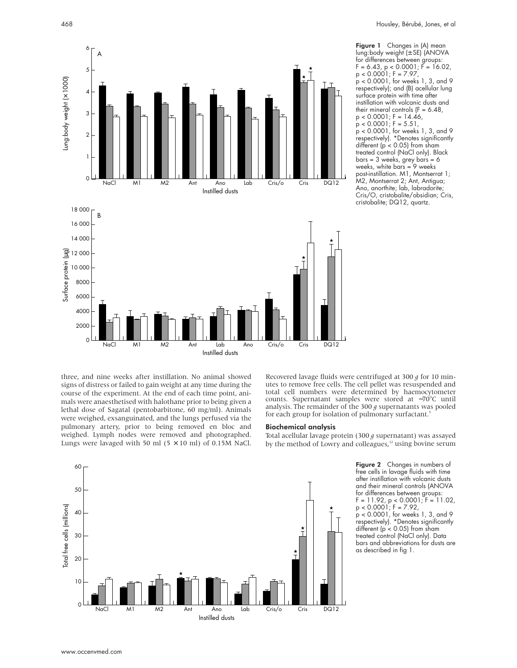

Figure 1 Changes in (A) mean lung:body weight (± SE) (ANOVA for differences between groups: F = 6.43, p < 0.0001; F = 16.02, p < 0.0001; F = 7.97, p < 0.0001, for weeks 1, 3, and 9 respectively); and (B) acellular lung surface protein with time after instillation with volcanic dusts and their mineral controls  $(F = 6.48)$ ,  $p < 0.0001$ ; F = 14.46,  $p < 0.0001$ ; F = 5.51 p < 0.0001, for weeks 1, 3, and 9 respectively). \*Denotes significantly different ( $p < 0.05$ ) from sham treated control (NaCl only). Black bars = 3 weeks, grey bars = 6 weeks, white bars = 9 weeks post-instillation. M1, Montserrat 1; M2, Montserrat 2; Ant, Antigua; Ano, anorthite; lab, labradorite; Cris/O, cristobalite/obsidian; Cris, cristobalite; DQ12, quartz.

three, and nine weeks after instillation. No animal showed signs of distress or failed to gain weight at any time during the course of the experiment. At the end of each time point, animals were anaesthetised with halothane prior to being given a lethal dose of Sagatal (pentobarbitone, 60 mg/ml). Animals were weighed, exsanguinated, and the lungs perfused via the pulmonary artery, prior to being removed en bloc and weighed. Lymph nodes were removed and photographed. Lungs were lavaged with 50 ml  $(5 \times 10$  ml) of 0.15M NaCl.

Recovered lavage fluids were centrifuged at 300 *g* for 10 minutes to remove free cells. The cell pellet was resuspended and total cell numbers were determined by haemocytometer counts. Supernatant samples were stored at −70°C until analysis. The remainder of the 300 *g* supernatants was pooled for each group for isolation of pulmonary surfactant.<sup>5</sup>

#### Biochemical analysis

Total acellular lavage protein (300 *g* supernatant) was assayed by the method of Lowry and colleagues, $12$  using bovine serum



Figure 2 Changes in numbers of free cells in lavage fluids with time after instillation with volcanic dusts and their mineral controls (ANOVA for differences between groups: F = 11.92, p < 0.0001; F = 11.02,  $p < 0.0001$ ; F = 7.92 p < 0.0001, for weeks 1, 3, and 9

respectively). \*Denotes significantly different (p < 0.05) from sham treated control (NaCl only). Data bars and abbreviations for dusts are as described in fig 1.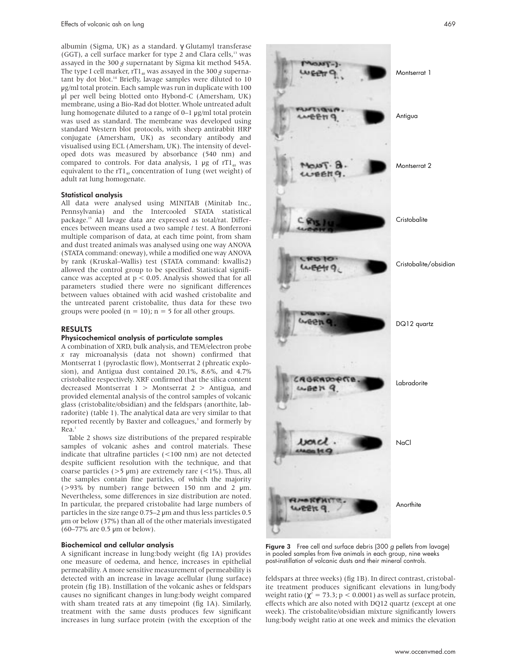albumin (Sigma, UK) as a standard. γ Glutamyl transferase (GGT), a cell surface marker for type 2 and Clara cells, $13$  was assayed in the 300 *g* supernatant by Sigma kit method 545A. The type I cell marker, rT1<sub>40</sub> was assayed in the 300  $g$  supernatant by dot blot.<sup>14</sup> Briefly, lavage samples were diluted to 10 µg/ml total protein. Each sample was run in duplicate with 100 µl per well being blotted onto Hybond-C (Amersham, UK) membrane, using a Bio-Rad dot blotter. Whole untreated adult lung homogenate diluted to a range of 0–1 µg/ml total protein was used as standard. The membrane was developed using standard Western blot protocols, with sheep antirabbit HRP conjugate (Amersham, UK) as secondary antibody and visualised using ECL (Amersham, UK). The intensity of developed dots was measured by absorbance (540 nm) and compared to controls. For data analysis, 1  $\mu$ g of rT1<sub>40</sub> was equivalent to the  $rT1_{40}$  concentration of 1ung (wet weight) of adult rat lung homogenate.

#### Statistical analysis

All data were analysed using MINITAB (Minitab Inc., Pennsylvania) and the Intercooled STATA statistical package.15 All lavage data are expressed as total/rat. Differences between means used a two sample *t* test. A Bonferroni multiple comparison of data, at each time point, from sham and dust treated animals was analysed using one way ANOVA (STATA command: oneway), while a modified one way ANOVA by rank (Kruskal–Wallis) test (STATA command: kwallis2) allowed the control group to be specified. Statistical significance was accepted at  $p < 0.05$ . Analysis showed that for all parameters studied there were no significant differences between values obtained with acid washed cristobalite and the untreated parent cristobalite, thus data for these two groups were pooled ( $n = 10$ );  $n = 5$  for all other groups.

#### RESULTS

#### Physicochemical analysis of particulate samples

A combination of XRD, bulk analysis, and TEM/electron probe *x* ray microanalysis (data not shown) confirmed that Montserrat 1 (pyroclastic flow), Montserrat 2 (phreatic explosion), and Antigua dust contained 20.1%, 8.6%, and 4.7% cristobalite respectively. XRF confirmed that the silica content decreased Montserrat 1 > Montserrat 2 > Antigua, and provided elemental analysis of the control samples of volcanic glass (cristobalite/obsidian) and the feldspars (anorthite, labradorite) (table 1). The analytical data are very similar to that reported recently by Baxter and colleagues,<sup>3</sup> and formerly by  $Rea<sup>1</sup>$ 

Table 2 shows size distributions of the prepared respirable samples of volcanic ashes and control materials. These indicate that ultrafine particles (<100 nm) are not detected despite sufficient resolution with the technique, and that coarse particles ( $>5 \mu m$ ) are extremely rare ( $<1\%$ ). Thus, all the samples contain fine particles, of which the majority ( $>93\%$  by number) range between 150 nm and 2  $\mu$ m. Nevertheless, some differences in size distribution are noted. In particular, the prepared cristobalite had large numbers of particles in the size range 0.75–2 µm and thus less particles 0.5 µm or below (37%) than all of the other materials investigated (60–77% are 0.5 µm or below).

#### Biochemical and cellular analysis

A significant increase in lung:body weight (fig 1A) provides one measure of oedema, and hence, increases in epithelial permeability. A more sensitive measurement of permeability is detected with an increase in lavage acellular (lung surface) protein (fig 1B). Instillation of the volcanic ashes or feldspars causes no significant changes in lung:body weight compared with sham treated rats at any timepoint (fig 1A). Similarly, treatment with the same dusts produces few significant increases in lung surface protein (with the exception of the



Figure 3 Free cell and surface debris (300 g pellets from lavage) in pooled samples from five animals in each group, nine weeks post-instillation of volcanic dusts and their mineral controls.

feldspars at three weeks) (fig 1B). In direct contrast, cristobalite treatment produces significant elevations in lung/body weight ratio ( $\chi^2$  = 73.3; p < 0.0001) as well as surface protein, effects which are also noted with DQ12 quartz (except at one week). The cristobalite/obsidian mixture significantly lowers lung:body weight ratio at one week and mimics the elevation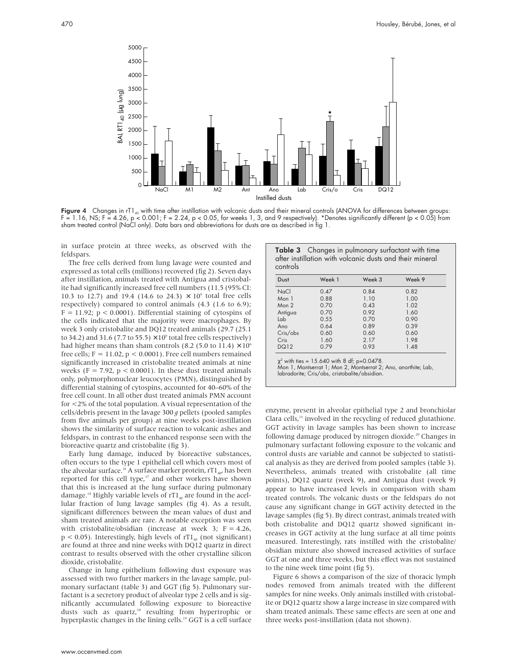

Figure 4 Changes in rT1<sub>40</sub> with time after instillation with volcanic dusts and their mineral controls (ANOVA for differences between groups: F = 1.16, NS; F = 4.26, p < 0.001; F = 2.24, p < 0.05, for weeks 1, 3, and 9 respectively). \*Denotes significantly different (p < 0.05) from sham treated control (NaCl only). Data bars and abbreviations for dusts are as described in fig 1.

in surface protein at three weeks, as observed with the feldspars.

The free cells derived from lung lavage were counted and expressed as total cells (millions) recovered (fig 2). Seven days after instillation, animals treated with Antigua and cristobalite had significantly increased free cell numbers (11.5 (95% CI: 10.3 to 12.7) and 19.4 (14.6 to 24.3)  $\times$  10<sup>6</sup> total free cells respectively) compared to control animals (4.3 (1.6 to 6.9);  $F = 11.92$ ;  $p < 0.0001$ ). Differential staining of cytospins of the cells indicated that the majority were macrophages. By week 3 only cristobalite and DQ12 treated animals (29.7 (25.1 to 34.2) and 31.6 (7.7 to 55.5)  $\times$  10<sup>6</sup> total free cells respectively) had higher means than sham controls (8.2 (5.0 to 11.4)  $\times$  10<sup>6</sup> free cells;  $F = 11.02$ ,  $p < 0.0001$ ). Free cell numbers remained significantly increased in cristobalite treated animals at nine weeks (F = 7.92,  $p < 0.0001$ ). In these dust treated animals only, polymorphonuclear leucocytes (PMN), distinguished by differential staining of cytospins, accounted for 40–60% of the free cell count. In all other dust treated animals PMN account for <2% of the total population. A visual representation of the cells/debris present in the lavage 300 *g* pellets (pooled samples from five animals per group) at nine weeks post-instillation shows the similarity of surface reaction to volcanic ashes and feldspars, in contrast to the enhanced response seen with the bioreactive quartz and cristobalite (fig 3).

Early lung damage, induced by bioreactive substances, often occurs to the type 1 epithelial cell which covers most of the alveolar surface.<sup>16</sup> A surface marker protein, rT1<sub>40</sub>, has been reported for this cell type,<sup>17</sup> and other workers have shown that this is increased at the lung surface during pulmonary damage.<sup>14</sup> Highly variable levels of  $rT1_{40}$  are found in the acellular fraction of lung lavage samples (fig 4). As a result, significant differences between the mean values of dust and sham treated animals are rare. A notable exception was seen with cristobalite/obsidian (increase at week 3;  $F = 4.26$ ,  $p < 0.05$ ). Interestingly, high levels of  $rTl_{40}$  (not significant) are found at three and nine weeks with DQ12 quartz in direct contrast to results observed with the other crystalline silicon dioxide, cristobalite.

Change in lung epithelium following dust exposure was assessed with two further markers in the lavage sample, pulmonary surfactant (table 3) and GGT (fig 5). Pulmonary surfactant is a secretory product of alveolar type 2 cells and is significantly accumulated following exposure to bioreactive dusts such as quartz,<sup>18</sup> resulting from hypertrophic or hyperplastic changes in the lining cells.<sup>19</sup> GGT is a cell surface

| Table 3 Changes in pulmonary surfactant with time        |  |  |  |  |
|----------------------------------------------------------|--|--|--|--|
| after instillation with volcanic dusts and their mineral |  |  |  |  |
| controls                                                 |  |  |  |  |

| Dust             | Week 1 | Week 3 | Week 9 |
|------------------|--------|--------|--------|
| NaCl             | 0.47   | 0.84   | 0.82   |
| Mon 1            | 0.88   | 1.10   | 1.00   |
| Mon <sub>2</sub> | 0.70   | 0.43   | 1.02   |
| Antigua          | 0.70   | 0.92   | 1.60   |
| Lab              | 0.55   | 0.70   | 0.90   |
| Ano              | 0.64   | 0.89   | 0.39   |
| Cris/obs         | 0.60   | 0.60   | 0.60   |
| Cris             | 1.60   | 2.17   | 1.98   |
| <b>DQ12</b>      | 0.79   | 0.93   | 1.48   |

χ<sup>2</sup> with ties = 15.640 with 8 df; p=0.0478.<br>Mon 1, Montserrat 1; Mon 2, Montserrat 2; Ano, anorthite; Lab, labradorite; Cris/obs, cristobalite/obsidian.

enzyme, present in alveolar epithelial type 2 and bronchiolar Clara cells,<sup>13</sup> involved in the recycling of reduced glutathione. GGT activity in lavage samples has been shown to increase following damage produced by nitrogen dioxide.<sup>20</sup> Changes in pulmonary surfactant following exposure to the volcanic and control dusts are variable and cannot be subjected to statistical analysis as they are derived from pooled samples (table 3). Nevertheless, animals treated with cristobalite (all time points), DQ12 quartz (week 9), and Antigua dust (week 9) appear to have increased levels in comparison with sham treated controls. The volcanic dusts or the feldspars do not cause any significant change in GGT activity detected in the lavage samples (fig 5). By direct contrast, animals treated with both cristobalite and DQ12 quartz showed significant increases in GGT activity at the lung surface at all time points measured. Interestingly, rats instilled with the cristobalite/ obsidian mixture also showed increased activities of surface GGT at one and three weeks, but this effect was not sustained to the nine week time point (fig 5).

Figure 6 shows a comparison of the size of thoracic lymph nodes removed from animals treated with the different samples for nine weeks. Only animals instilled with cristobalite or DQ12 quartz show a large increase in size compared with sham treated animals. These same effects are seen at one and three weeks post-instillation (data not shown).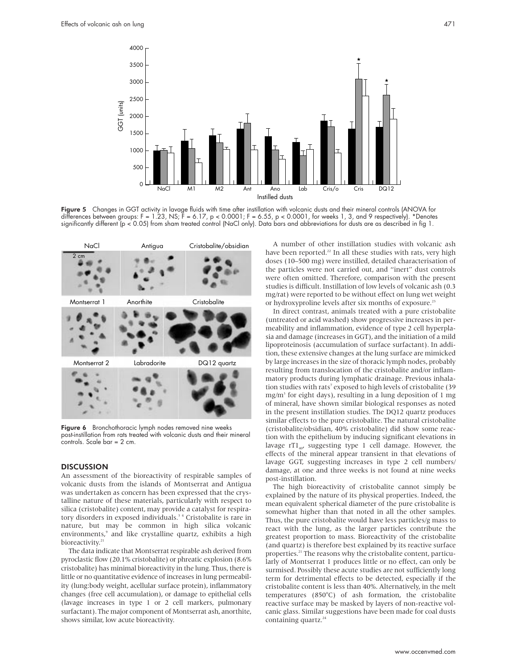

**Figure 5** Changes in GGT activity in lavage fluids with time after instillation with volcanic dusts and their mineral controls (ANOVA for differences between groups: F = 1.23, NS; F = 6.17, p < 0.0001; F = 6.55, p < 0.0001, for weeks 1, 3, and 9 respectively). \*Denotes significantly different (p < 0.05) from sham treated control (NaCl only). Data bars and abbreviations for dusts are as described in fig 1.



Figure 6 Bronchothoracic lymph nodes removed nine weeks post-instillation from rats treated with volcanic dusts and their mineral controls. Scale bar = 2 cm.

#### **DISCUSSION**

An assessment of the bioreactivity of respirable samples of volcanic dusts from the islands of Montserrat and Antigua was undertaken as concern has been expressed that the crystalline nature of these materials, particularly with respect to silica (cristobalite) content, may provide a catalyst for respiratory disorders in exposed individuals.<sup>34</sup> Cristobalite is rare in nature, but may be common in high silica volcanic environments,<sup>9</sup> and like crystalline quartz, exhibits a high bioreactivity.<sup>21</sup>

The data indicate that Montserrat respirable ash derived from pyroclastic flow (20.1% cristobalite) or phreatic explosion (8.6% cristobalite) has minimal bioreactivity in the lung. Thus, there is little or no quantitative evidence of increases in lung permeability (lung:body weight, acellular surface protein), inflammatory changes (free cell accumulation), or damage to epithelial cells (lavage increases in type 1 or 2 cell markers, pulmonary surfactant). The major component of Montserrat ash, anorthite, shows similar, low acute bioreactivity.

A number of other instillation studies with volcanic ash have been reported.<sup>22</sup> In all these studies with rats, very high doses (10–500 mg) were instilled, detailed characterisation of the particles were not carried out, and "inert" dust controls were often omitted. Therefore, comparison with the present studies is difficult. Instillation of low levels of volcanic ash (0.3 mg/rat) were reported to be without effect on lung wet weight or hydroxyproline levels after six months of exposure.<sup>23</sup>

In direct contrast, animals treated with a pure cristobalite (untreated or acid washed) show progressive increases in permeability and inflammation, evidence of type 2 cell hyperplasia and damage (increases in GGT), and the initiation of a mild lipoproteinosis (accumulation of surface surfactant). In addition, these extensive changes at the lung surface are mimicked by large increases in the size of thoracic lymph nodes, probably resulting from translocation of the cristobalite and/or inflammatory products during lymphatic drainage. Previous inhalation studies with rats<sup>7</sup> exposed to high levels of cristobalite (39) mg/m<sup>3</sup> for eight days), resulting in a lung deposition of 1 mg of mineral, have shown similar biological responses as noted in the present instillation studies. The DQ12 quartz produces similar effects to the pure cristobalite. The natural cristobalite (cristobalite/obsidian, 40% cristobalite) did show some reaction with the epithelium by inducing significant elevations in lavage  $rT1_{40}$ , suggesting type 1 cell damage. However, the effects of the mineral appear transient in that elevations of lavage GGT, suggesting increases in type 2 cell numbers/ damage, at one and three weeks is not found at nine weeks post-instillation.

The high bioreactivity of cristobalite cannot simply be explained by the nature of its physical properties. Indeed, the mean equivalent spherical diameter of the pure cristobalite is somewhat higher than that noted in all the other samples. Thus, the pure cristobalite would have less particles/g mass to react with the lung, as the larger particles contribute the greatest proportion to mass. Bioreactivity of the cristobalite (and quartz) is therefore best explained by its reactive surface properties.<sup>21</sup> The reasons why the cristobalite content, particularly of Montserrat 1 produces little or no effect, can only be surmised. Possibly these acute studies are not sufficiently long term for detrimental effects to be detected, especially if the cristobalite content is less than 40%. Alternatively, in the melt temperatures (850°C) of ash formation, the cristobalite reactive surface may be masked by layers of non-reactive volcanic glass. Similar suggestions have been made for coal dusts containing quartz.<sup>24</sup>